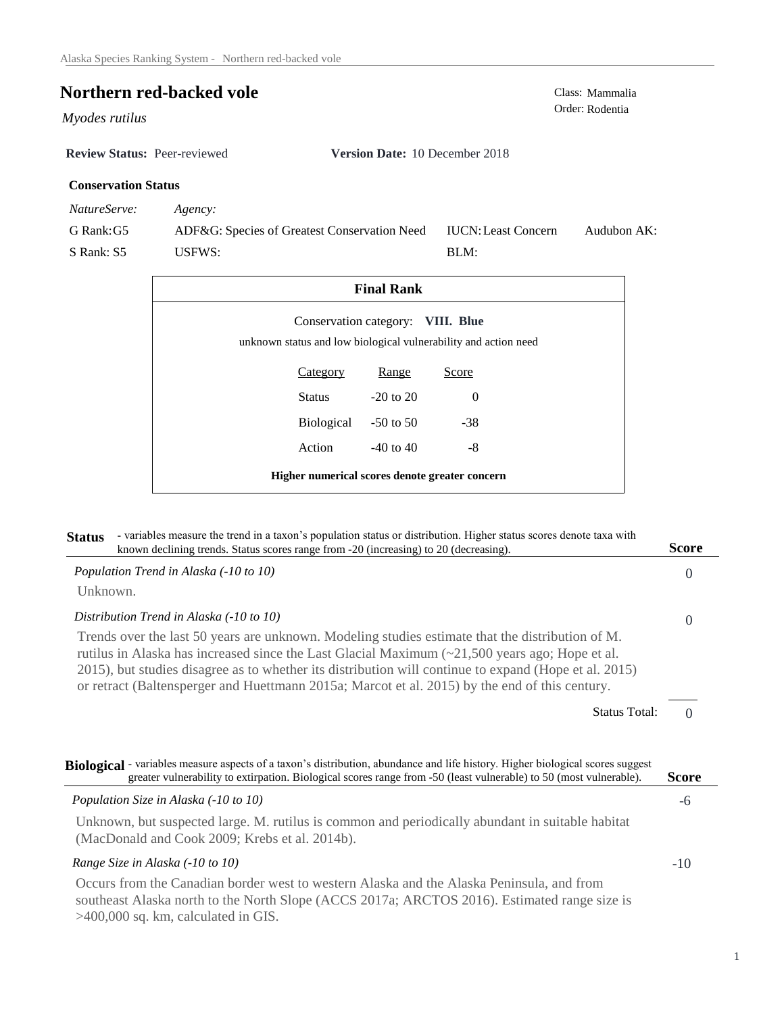# **Northern red-backed vole**<br>Class: Mammalia<br>Order: Rodentia

 $Myodes$  *rutilus* 

**Review Status:** Peer-reviewed **Version Date:** 10 December 2018

## **Conservation Status**

*NatureServe: Agency:*

G Rank:G5 S Rank: S5 ADF&G: Species of Greatest Conservation Need USFWS: Audubon AK: BLM: IUCN:Least Concern

| <b>Final Rank</b>                                                                                    |                             |          |  |  |  |
|------------------------------------------------------------------------------------------------------|-----------------------------|----------|--|--|--|
| Conservation category: VIII. Blue<br>unknown status and low biological vulnerability and action need |                             |          |  |  |  |
| <b>Category</b>                                                                                      | Range                       | Score    |  |  |  |
| Status                                                                                               | $-20$ to $20$               | $\Omega$ |  |  |  |
|                                                                                                      | Biological<br>$-50$ to $50$ | $-38$    |  |  |  |
| Action                                                                                               | $-40$ to $40$               | -8       |  |  |  |
| Higher numerical scores denote greater concern                                                       |                             |          |  |  |  |

| - variables measure the trend in a taxon's population status or distribution. Higher status scores denote taxa with<br><b>Status</b><br>known declining trends. Status scores range from -20 (increasing) to 20 (decreasing).                                                                                                                                                                                                     | <b>Score</b> |
|-----------------------------------------------------------------------------------------------------------------------------------------------------------------------------------------------------------------------------------------------------------------------------------------------------------------------------------------------------------------------------------------------------------------------------------|--------------|
| Population Trend in Alaska (-10 to 10)                                                                                                                                                                                                                                                                                                                                                                                            | $\Omega$     |
| Unknown.                                                                                                                                                                                                                                                                                                                                                                                                                          |              |
| Distribution Trend in Alaska (-10 to 10)                                                                                                                                                                                                                                                                                                                                                                                          | $\Omega$     |
| Trends over the last 50 years are unknown. Modeling studies estimate that the distribution of M.<br>rutilus in Alaska has increased since the Last Glacial Maximum $\left( \sim 21,500 \right)$ years ago; Hope et al.<br>2015), but studies disagree as to whether its distribution will continue to expand (Hope et al. 2015)<br>or retract (Baltensperger and Huettmann 2015a; Marcot et al. 2015) by the end of this century. |              |
| <b>Status Total:</b>                                                                                                                                                                                                                                                                                                                                                                                                              | $\Omega$     |
| Biological - variables measure aspects of a taxon's distribution, abundance and life history. Higher biological scores suggest<br>greater vulnerability to extirpation. Biological scores range from -50 (least vulnerable) to 50 (most vulnerable).                                                                                                                                                                              | Score        |
| Population Size in Alaska (-10 to 10)                                                                                                                                                                                                                                                                                                                                                                                             | -6           |
| Unknown, but suspected large. M. rutilus is common and periodically abundant in suitable habitat<br>(MacDonald and Cook 2009; Krebs et al. 2014b).                                                                                                                                                                                                                                                                                |              |
| Range Size in Alaska (-10 to 10)                                                                                                                                                                                                                                                                                                                                                                                                  | $-10$        |
| Occurs from the Canadian border west to western Alaska and the Alaska Peninsula, and from<br>southeast Alaska north to the North Slope (ACCS 2017a; ARCTOS 2016). Estimated range size is<br>$>400,000$ sq. km, calculated in GIS.                                                                                                                                                                                                |              |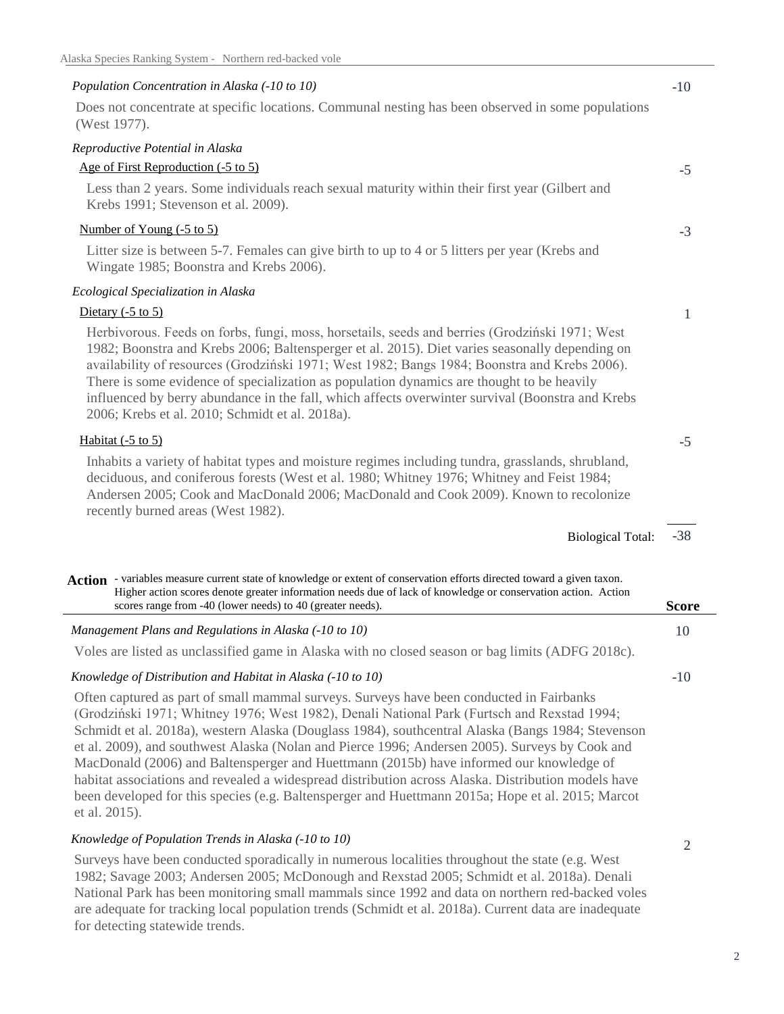| Population Concentration in Alaska (-10 to 10)                                                                                                                                                                                                                                                                                                                                                                                                                                                                                                                                                                                                                                                                         | $-10$        |
|------------------------------------------------------------------------------------------------------------------------------------------------------------------------------------------------------------------------------------------------------------------------------------------------------------------------------------------------------------------------------------------------------------------------------------------------------------------------------------------------------------------------------------------------------------------------------------------------------------------------------------------------------------------------------------------------------------------------|--------------|
| Does not concentrate at specific locations. Communal nesting has been observed in some populations<br>(West 1977).                                                                                                                                                                                                                                                                                                                                                                                                                                                                                                                                                                                                     |              |
| Reproductive Potential in Alaska                                                                                                                                                                                                                                                                                                                                                                                                                                                                                                                                                                                                                                                                                       |              |
| Age of First Reproduction (-5 to 5)                                                                                                                                                                                                                                                                                                                                                                                                                                                                                                                                                                                                                                                                                    | $-5$         |
| Less than 2 years. Some individuals reach sexual maturity within their first year (Gilbert and<br>Krebs 1991; Stevenson et al. 2009).                                                                                                                                                                                                                                                                                                                                                                                                                                                                                                                                                                                  |              |
| Number of Young $(-5 \text{ to } 5)$                                                                                                                                                                                                                                                                                                                                                                                                                                                                                                                                                                                                                                                                                   | $-3$         |
| Litter size is between 5-7. Females can give birth to up to 4 or 5 litters per year (Krebs and<br>Wingate 1985; Boonstra and Krebs 2006).                                                                                                                                                                                                                                                                                                                                                                                                                                                                                                                                                                              |              |
| Ecological Specialization in Alaska                                                                                                                                                                                                                                                                                                                                                                                                                                                                                                                                                                                                                                                                                    |              |
| Dietary $(-5 \text{ to } 5)$                                                                                                                                                                                                                                                                                                                                                                                                                                                                                                                                                                                                                                                                                           | 1            |
| Herbivorous. Feeds on forbs, fungi, moss, horsetails, seeds and berries (Grodziński 1971; West<br>1982; Boonstra and Krebs 2006; Baltensperger et al. 2015). Diet varies seasonally depending on<br>availability of resources (Grodziński 1971; West 1982; Bangs 1984; Boonstra and Krebs 2006).<br>There is some evidence of specialization as population dynamics are thought to be heavily<br>influenced by berry abundance in the fall, which affects overwinter survival (Boonstra and Krebs<br>2006; Krebs et al. 2010; Schmidt et al. 2018a).                                                                                                                                                                   |              |
| Habitat $(-5 \text{ to } 5)$                                                                                                                                                                                                                                                                                                                                                                                                                                                                                                                                                                                                                                                                                           | $-5$         |
| Inhabits a variety of habitat types and moisture regimes including tundra, grasslands, shrubland,<br>deciduous, and coniferous forests (West et al. 1980; Whitney 1976; Whitney and Feist 1984;<br>Andersen 2005; Cook and MacDonald 2006; MacDonald and Cook 2009). Known to recolonize<br>recently burned areas (West 1982).                                                                                                                                                                                                                                                                                                                                                                                         |              |
| <b>Biological Total:</b>                                                                                                                                                                                                                                                                                                                                                                                                                                                                                                                                                                                                                                                                                               | $-38$        |
| Action - variables measure current state of knowledge or extent of conservation efforts directed toward a given taxon.<br>Higher action scores denote greater information needs due of lack of knowledge or conservation action. Action<br>scores range from -40 (lower needs) to 40 (greater needs).                                                                                                                                                                                                                                                                                                                                                                                                                  | <b>Score</b> |
| Management Plans and Regulations in Alaska (-10 to 10)                                                                                                                                                                                                                                                                                                                                                                                                                                                                                                                                                                                                                                                                 | 10           |
| Voles are listed as unclassified game in Alaska with no closed season or bag limits (ADFG 2018c).                                                                                                                                                                                                                                                                                                                                                                                                                                                                                                                                                                                                                      |              |
| Knowledge of Distribution and Habitat in Alaska (-10 to 10)                                                                                                                                                                                                                                                                                                                                                                                                                                                                                                                                                                                                                                                            | $-10$        |
| Often captured as part of small mammal surveys. Surveys have been conducted in Fairbanks<br>(Grodziński 1971; Whitney 1976; West 1982), Denali National Park (Furtsch and Rexstad 1994;<br>Schmidt et al. 2018a), western Alaska (Douglass 1984), southcentral Alaska (Bangs 1984; Stevenson<br>et al. 2009), and southwest Alaska (Nolan and Pierce 1996; Andersen 2005). Surveys by Cook and<br>MacDonald (2006) and Baltensperger and Huettmann (2015b) have informed our knowledge of<br>habitat associations and revealed a widespread distribution across Alaska. Distribution models have<br>been developed for this species (e.g. Baltensperger and Huettmann 2015a; Hope et al. 2015; Marcot<br>et al. 2015). |              |
| Knowledge of Population Trends in Alaska (-10 to 10)                                                                                                                                                                                                                                                                                                                                                                                                                                                                                                                                                                                                                                                                   | 2            |
| Surveys have been conducted sporadically in numerous localities throughout the state (e.g. West<br>$\Lambda$ ndorson $2005. M_2D_3$<br>$\Box$ Deveted 2005, Colomide                                                                                                                                                                                                                                                                                                                                                                                                                                                                                                                                                   |              |

1982; Savage 2003; Andersen 2005; McDonough and Rexstad 2005; Schmidt et al. 2018a). Denali National Park has been monitoring small mammals since 1992 and data on northern red-backed voles are adequate for tracking local population trends (Schmidt et al. 2018a). Current data are inadequate for detecting statewide trends.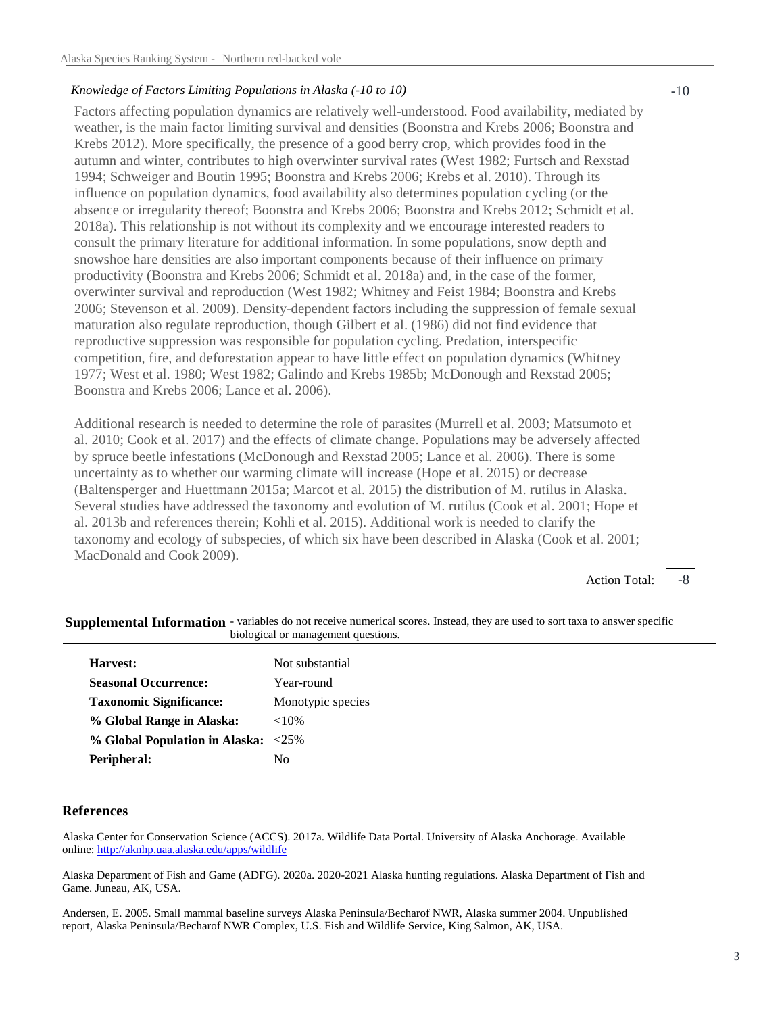### *Knowledge of Factors Limiting Populations in Alaska (-10 to 10)*

Factors affecting population dynamics are relatively well-understood. Food availability, mediated by weather, is the main factor limiting survival and densities (Boonstra and Krebs 2006; Boonstra and Krebs 2012). More specifically, the presence of a good berry crop, which provides food in the autumn and winter, contributes to high overwinter survival rates (West 1982; Furtsch and Rexstad 1994; Schweiger and Boutin 1995; Boonstra and Krebs 2006; Krebs et al. 2010). Through its influence on population dynamics, food availability also determines population cycling (or the absence or irregularity thereof; Boonstra and Krebs 2006; Boonstra and Krebs 2012; Schmidt et al. 2018a). This relationship is not without its complexity and we encourage interested readers to consult the primary literature for additional information. In some populations, snow depth and snowshoe hare densities are also important components because of their influence on primary productivity (Boonstra and Krebs 2006; Schmidt et al. 2018a) and, in the case of the former, overwinter survival and reproduction (West 1982; Whitney and Feist 1984; Boonstra and Krebs 2006; Stevenson et al. 2009). Density-dependent factors including the suppression of female sexual maturation also regulate reproduction, though Gilbert et al. (1986) did not find evidence that reproductive suppression was responsible for population cycling. Predation, interspecific competition, fire, and deforestation appear to have little effect on population dynamics (Whitney 1977; West et al. 1980; West 1982; Galindo and Krebs 1985b; McDonough and Rexstad 2005; Boonstra and Krebs 2006; Lance et al. 2006).

Additional research is needed to determine the role of parasites (Murrell et al. 2003; Matsumoto et al. 2010; Cook et al. 2017) and the effects of climate change. Populations may be adversely affected by spruce beetle infestations (McDonough and Rexstad 2005; Lance et al. 2006). There is some uncertainty as to whether our warming climate will increase (Hope et al. 2015) or decrease (Baltensperger and Huettmann 2015a; Marcot et al. 2015) the distribution of M. rutilus in Alaska. Several studies have addressed the taxonomy and evolution of M. rutilus (Cook et al. 2001; Hope et al. 2013b and references therein; Kohli et al. 2015). Additional work is needed to clarify the taxonomy and ecology of subspecies, of which six have been described in Alaska (Cook et al. 2001; MacDonald and Cook 2009).

> -8 Action Total:

| profession of management que   |                   |  |
|--------------------------------|-------------------|--|
| Harvest:                       | Not substantial   |  |
| <b>Seasonal Occurrence:</b>    | Year-round        |  |
| <b>Taxonomic Significance:</b> | Monotypic species |  |
| % Global Range in Alaska:      | ${<}10\%$         |  |
| % Global Population in Alaska: | $<25\%$           |  |
| Peripheral:                    | Nο                |  |
|                                |                   |  |

Supplemental Information - variables do not receive numerical scores. Instead, they are used to sort taxa to answer specific biological or management questions.

### **References**

Alaska Center for Conservation Science (ACCS). 2017a. Wildlife Data Portal. University of Alaska Anchorage. Available online: http://aknhp.uaa.alaska.edu/apps/wildlife

Alaska Department of Fish and Game (ADFG). 2020a. 2020-2021 Alaska hunting regulations. Alaska Department of Fish and Game. Juneau, AK, USA.

Andersen, E. 2005. Small mammal baseline surveys Alaska Peninsula/Becharof NWR, Alaska summer 2004. Unpublished report, Alaska Peninsula/Becharof NWR Complex, U.S. Fish and Wildlife Service, King Salmon, AK, USA.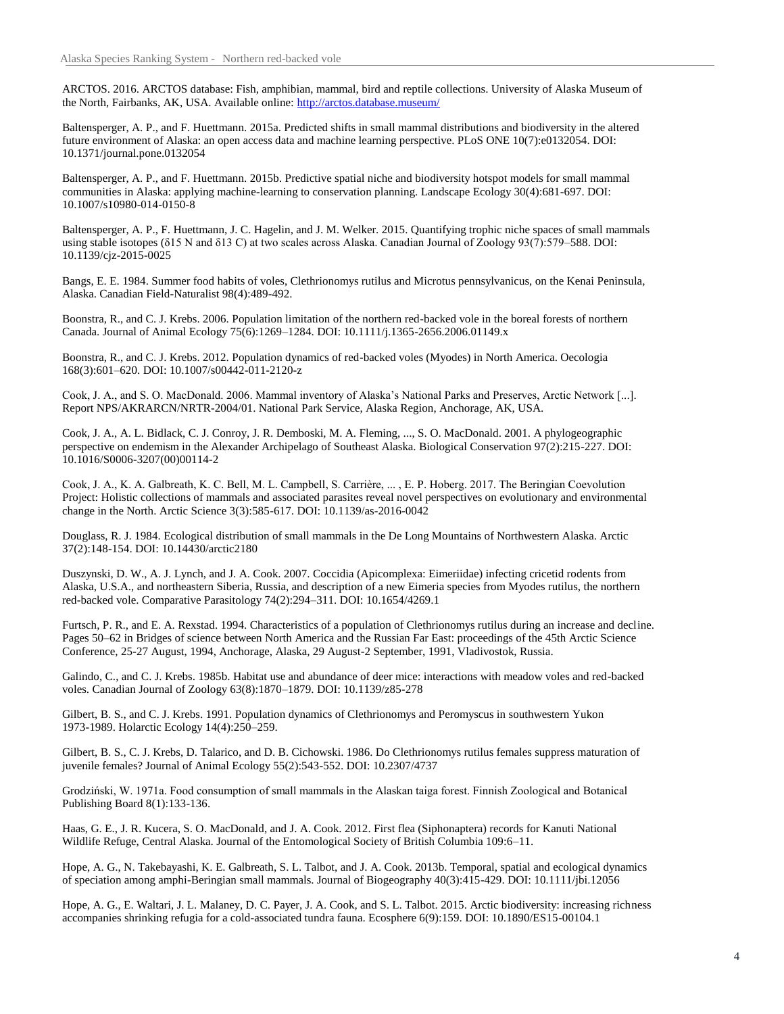ARCTOS. 2016. ARCTOS database: Fish, amphibian, mammal, bird and reptile collections. University of Alaska Museum of the North, Fairbanks, AK, USA. Available online: http://arctos.database.museum/

Baltensperger, A. P., and F. Huettmann. 2015a. Predicted shifts in small mammal distributions and biodiversity in the altered future environment of Alaska: an open access data and machine learning perspective. PLoS ONE 10(7):e0132054. DOI: 10.1371/journal.pone.0132054

Baltensperger, A. P., and F. Huettmann. 2015b. Predictive spatial niche and biodiversity hotspot models for small mammal communities in Alaska: applying machine-learning to conservation planning. Landscape Ecology 30(4):681-697. DOI: 10.1007/s10980-014-0150-8

Baltensperger, A. P., F. Huettmann, J. C. Hagelin, and J. M. Welker. 2015. Quantifying trophic niche spaces of small mammals using stable isotopes (δ15 N and δ13 C) at two scales across Alaska. Canadian Journal of Zoology 93(7):579–588. DOI: 10.1139/cjz-2015-0025

Bangs, E. E. 1984. Summer food habits of voles, Clethrionomys rutilus and Microtus pennsylvanicus, on the Kenai Peninsula, Alaska. Canadian Field-Naturalist 98(4):489-492.

Boonstra, R., and C. J. Krebs. 2006. Population limitation of the northern red-backed vole in the boreal forests of northern Canada. Journal of Animal Ecology 75(6):1269–1284. DOI: 10.1111/j.1365-2656.2006.01149.x

Boonstra, R., and C. J. Krebs. 2012. Population dynamics of red-backed voles (Myodes) in North America. Oecologia 168(3):601–620. DOI: 10.1007/s00442-011-2120-z

Cook, J. A., and S. O. MacDonald. 2006. Mammal inventory of Alaska's National Parks and Preserves, Arctic Network [...]. Report NPS/AKRARCN/NRTR-2004/01. National Park Service, Alaska Region, Anchorage, AK, USA.

Cook, J. A., A. L. Bidlack, C. J. Conroy, J. R. Demboski, M. A. Fleming, ..., S. O. MacDonald. 2001. A phylogeographic perspective on endemism in the Alexander Archipelago of Southeast Alaska. Biological Conservation 97(2):215-227. DOI: 10.1016/S0006-3207(00)00114-2

Cook, J. A., K. A. Galbreath, K. C. Bell, M. L. Campbell, S. Carrière, ... , E. P. Hoberg. 2017. The Beringian Coevolution Project: Holistic collections of mammals and associated parasites reveal novel perspectives on evolutionary and environmental change in the North. Arctic Science 3(3):585-617. DOI: 10.1139/as-2016-0042

Douglass, R. J. 1984. Ecological distribution of small mammals in the De Long Mountains of Northwestern Alaska. Arctic 37(2):148-154. DOI: 10.14430/arctic2180

Duszynski, D. W., A. J. Lynch, and J. A. Cook. 2007. Coccidia (Apicomplexa: Eimeriidae) infecting cricetid rodents from Alaska, U.S.A., and northeastern Siberia, Russia, and description of a new Eimeria species from Myodes rutilus, the northern red-backed vole. Comparative Parasitology 74(2):294–311. DOI: 10.1654/4269.1

Furtsch, P. R., and E. A. Rexstad. 1994. Characteristics of a population of Clethrionomys rutilus during an increase and decline. Pages 50–62 in Bridges of science between North America and the Russian Far East: proceedings of the 45th Arctic Science Conference, 25-27 August, 1994, Anchorage, Alaska, 29 August-2 September, 1991, Vladivostok, Russia.

Galindo, C., and C. J. Krebs. 1985b. Habitat use and abundance of deer mice: interactions with meadow voles and red-backed voles. Canadian Journal of Zoology 63(8):1870–1879. DOI: 10.1139/z85-278

Gilbert, B. S., and C. J. Krebs. 1991. Population dynamics of Clethrionomys and Peromyscus in southwestern Yukon 1973-1989. Holarctic Ecology 14(4):250–259.

Gilbert, B. S., C. J. Krebs, D. Talarico, and D. B. Cichowski. 1986. Do Clethrionomys rutilus females suppress maturation of juvenile females? Journal of Animal Ecology 55(2):543-552. DOI: 10.2307/4737

Grodziński, W. 1971a. Food consumption of small mammals in the Alaskan taiga forest. Finnish Zoological and Botanical Publishing Board 8(1):133-136.

Haas, G. E., J. R. Kucera, S. O. MacDonald, and J. A. Cook. 2012. First flea (Siphonaptera) records for Kanuti National Wildlife Refuge, Central Alaska. Journal of the Entomological Society of British Columbia 109:6–11.

Hope, A. G., N. Takebayashi, K. E. Galbreath, S. L. Talbot, and J. A. Cook. 2013b. Temporal, spatial and ecological dynamics of speciation among amphi-Beringian small mammals. Journal of Biogeography 40(3):415-429. DOI: 10.1111/jbi.12056

Hope, A. G., E. Waltari, J. L. Malaney, D. C. Payer, J. A. Cook, and S. L. Talbot. 2015. Arctic biodiversity: increasing richness accompanies shrinking refugia for a cold-associated tundra fauna. Ecosphere 6(9):159. DOI: 10.1890/ES15-00104.1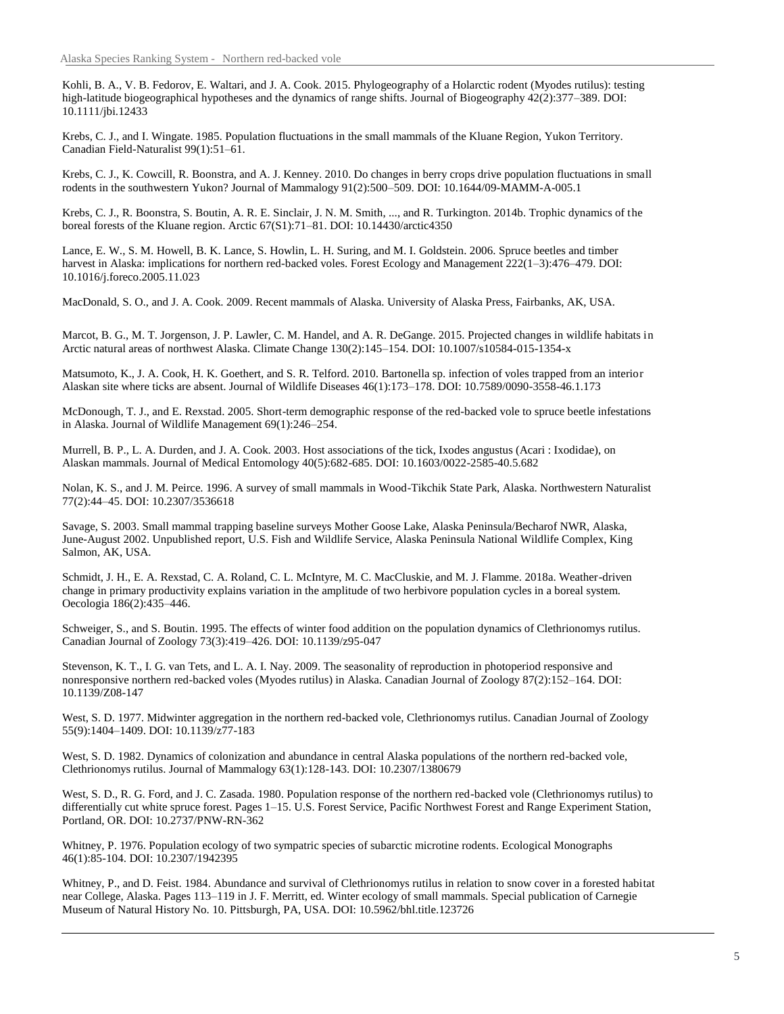Kohli, B. A., V. B. Fedorov, E. Waltari, and J. A. Cook. 2015. Phylogeography of a Holarctic rodent (Myodes rutilus): testing high-latitude biogeographical hypotheses and the dynamics of range shifts. Journal of Biogeography 42(2):377–389. DOI: 10.1111/jbi.12433

Krebs, C. J., and I. Wingate. 1985. Population fluctuations in the small mammals of the Kluane Region, Yukon Territory. Canadian Field-Naturalist 99(1):51–61.

Krebs, C. J., K. Cowcill, R. Boonstra, and A. J. Kenney. 2010. Do changes in berry crops drive population fluctuations in small rodents in the southwestern Yukon? Journal of Mammalogy 91(2):500–509. DOI: 10.1644/09-MAMM-A-005.1

Krebs, C. J., R. Boonstra, S. Boutin, A. R. E. Sinclair, J. N. M. Smith, ..., and R. Turkington. 2014b. Trophic dynamics of the boreal forests of the Kluane region. Arctic 67(S1):71–81. DOI: 10.14430/arctic4350

Lance, E. W., S. M. Howell, B. K. Lance, S. Howlin, L. H. Suring, and M. I. Goldstein. 2006. Spruce beetles and timber harvest in Alaska: implications for northern red-backed voles. Forest Ecology and Management 222(1–3):476–479. DOI: 10.1016/j.foreco.2005.11.023

MacDonald, S. O., and J. A. Cook. 2009. Recent mammals of Alaska. University of Alaska Press, Fairbanks, AK, USA.

Marcot, B. G., M. T. Jorgenson, J. P. Lawler, C. M. Handel, and A. R. DeGange. 2015. Projected changes in wildlife habitats in Arctic natural areas of northwest Alaska. Climate Change 130(2):145–154. DOI: 10.1007/s10584-015-1354-x

Matsumoto, K., J. A. Cook, H. K. Goethert, and S. R. Telford. 2010. Bartonella sp. infection of voles trapped from an interior Alaskan site where ticks are absent. Journal of Wildlife Diseases 46(1):173–178. DOI: 10.7589/0090-3558-46.1.173

McDonough, T. J., and E. Rexstad. 2005. Short-term demographic response of the red-backed vole to spruce beetle infestations in Alaska. Journal of Wildlife Management 69(1):246–254.

Murrell, B. P., L. A. Durden, and J. A. Cook. 2003. Host associations of the tick, Ixodes angustus (Acari : Ixodidae), on Alaskan mammals. Journal of Medical Entomology 40(5):682-685. DOI: 10.1603/0022-2585-40.5.682

Nolan, K. S., and J. M. Peirce. 1996. A survey of small mammals in Wood-Tikchik State Park, Alaska. Northwestern Naturalist 77(2):44–45. DOI: 10.2307/3536618

Savage, S. 2003. Small mammal trapping baseline surveys Mother Goose Lake, Alaska Peninsula/Becharof NWR, Alaska, June-August 2002. Unpublished report, U.S. Fish and Wildlife Service, Alaska Peninsula National Wildlife Complex, King Salmon, AK, USA.

Schmidt, J. H., E. A. Rexstad, C. A. Roland, C. L. McIntyre, M. C. MacCluskie, and M. J. Flamme. 2018a. Weather-driven change in primary productivity explains variation in the amplitude of two herbivore population cycles in a boreal system. Oecologia 186(2):435–446.

Schweiger, S., and S. Boutin. 1995. The effects of winter food addition on the population dynamics of Clethrionomys rutilus. Canadian Journal of Zoology 73(3):419–426. DOI: 10.1139/z95-047

Stevenson, K. T., I. G. van Tets, and L. A. I. Nay. 2009. The seasonality of reproduction in photoperiod responsive and nonresponsive northern red-backed voles (Myodes rutilus) in Alaska. Canadian Journal of Zoology 87(2):152–164. DOI: 10.1139/Z08-147

West, S. D. 1977. Midwinter aggregation in the northern red-backed vole, Clethrionomys rutilus. Canadian Journal of Zoology 55(9):1404–1409. DOI: 10.1139/z77-183

West, S. D. 1982. Dynamics of colonization and abundance in central Alaska populations of the northern red-backed vole, Clethrionomys rutilus. Journal of Mammalogy 63(1):128-143. DOI: 10.2307/1380679

West, S. D., R. G. Ford, and J. C. Zasada. 1980. Population response of the northern red-backed vole (Clethrionomys rutilus) to differentially cut white spruce forest. Pages 1–15. U.S. Forest Service, Pacific Northwest Forest and Range Experiment Station, Portland, OR. DOI: 10.2737/PNW-RN-362

Whitney, P. 1976. Population ecology of two sympatric species of subarctic microtine rodents. Ecological Monographs 46(1):85-104. DOI: 10.2307/1942395

Whitney, P., and D. Feist. 1984. Abundance and survival of Clethrionomys rutilus in relation to snow cover in a forested habitat near College, Alaska. Pages 113–119 in J. F. Merritt, ed. Winter ecology of small mammals. Special publication of Carnegie Museum of Natural History No. 10. Pittsburgh, PA, USA. DOI: 10.5962/bhl.title.123726